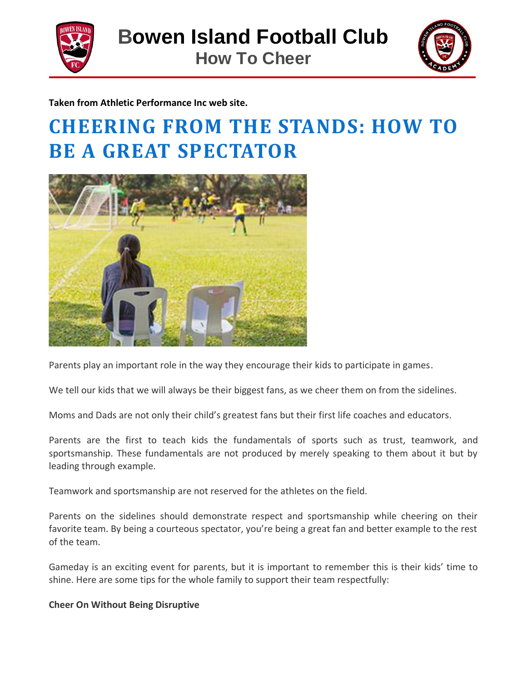



**Taken from Athletic Performance Inc web site.**

# **CHEERING FROM THE STANDS: HOW TO BE A GREAT SPECTATOR**



Parents play an important role in the way they encourage their kids to participate in games.

We tell our kids that we will always be their biggest fans, as we cheer them on from the sidelines.

Moms and Dads are not only their child's greatest fans but their first life coaches and educators.

Parents are the first to teach kids the fundamentals of sports such as trust, teamwork, and sportsmanship. These fundamentals are not produced by merely speaking to them about it but by leading through example.

Teamwork and sportsmanship are not reserved for the athletes on the field.

Parents on the sidelines should demonstrate respect and sportsmanship while cheering on their favorite team. By being a courteous spectator, you're being a great fan and better example to the rest of the team.

Gameday is an exciting event for parents, but it is important to remember this is their kids' time to shine. Here are some tips for the whole family to support their team respectfully:

## **Cheer On Without Being Disruptive**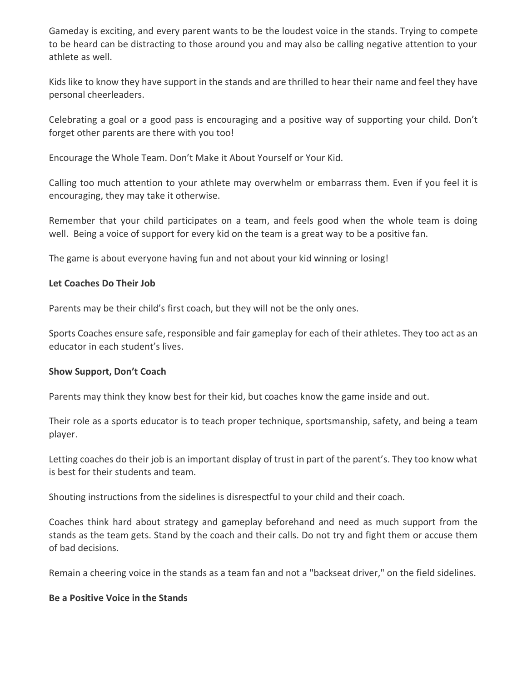Gameday is exciting, and every parent wants to be the loudest voice in the stands. Trying to compete to be heard can be distracting to those around you and may also be calling negative attention to your athlete as well.

Kids like to know they have support in the stands and are thrilled to hear their name and feel they have personal cheerleaders.

Celebrating a goal or a good pass is encouraging and a positive way of supporting your child. Don't forget other parents are there with you too!

Encourage the Whole Team. Don't Make it About Yourself or Your Kid.

Calling too much attention to your athlete may overwhelm or embarrass them. Even if you feel it is encouraging, they may take it otherwise.

Remember that your child participates on a team, and feels good when the whole team is doing well. Being a voice of support for every kid on the team is a great way to be a positive fan.

The game is about everyone having fun and not about your kid winning or losing!

#### **Let Coaches Do Their Job**

Parents may be their child's first coach, but they will not be the only ones.

Sports Coaches ensure safe, responsible and fair gameplay for each of their athletes. They too act as an educator in each student's lives.

#### **Show Support, Don't Coach**

Parents may think they know best for their kid, but coaches know the game inside and out.

Their role as a sports educator is to teach proper technique, sportsmanship, safety, and being a team player.

Letting coaches do their job is an important display of trust in part of the parent's. They too know what is best for their students and team.

Shouting instructions from the sidelines is disrespectful to your child and their coach.

Coaches think hard about strategy and gameplay beforehand and need as much support from the stands as the team gets. Stand by the coach and their calls. Do not try and fight them or accuse them of bad decisions.

Remain a cheering voice in the stands as a team fan and not a "backseat driver," on the field sidelines.

#### **Be a Positive Voice in the Stands**